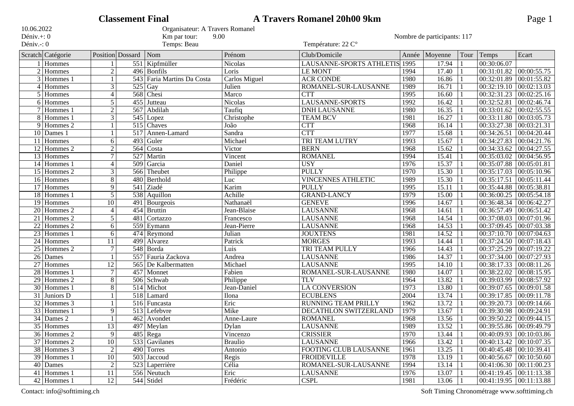|                 |                          |                 | <b>Classement Final</b> |                                 |                      | <b>A Travers Romanel 20h00 9km</b> |      |               |      |                           | Page 1      |
|-----------------|--------------------------|-----------------|-------------------------|---------------------------------|----------------------|------------------------------------|------|---------------|------|---------------------------|-------------|
| 10.06.2022      |                          |                 |                         | Organisateur: A Travers Romanel |                      |                                    |      |               |      |                           |             |
| Déniv.+: 0      |                          |                 |                         | Km par tour:<br>9.00            |                      | Nombre de participants: 117        |      |               |      |                           |             |
| Déniv.-: 0      |                          |                 |                         | Temps: Beau                     |                      | Température: 22 C°                 |      |               |      |                           |             |
|                 | Scratch Catégorie        |                 | Position Dossard        | Nom                             | Prénom               | Club/Domicile                      |      | Année Moyenne | Tour | Temps                     | Ecart       |
|                 | 1 Hommes                 |                 |                         | 551 Kipfmüller                  | <b>Nicolas</b>       | LAUSANNE-SPORTS ATHLETIS           | 1995 | 17.94         |      | 00:30:06.07               |             |
|                 | $2$ Hommes               | $\overline{2}$  |                         | 496 Bonfils                     | Loris                | <b>LE MONT</b>                     | 1994 | 17.40         |      | 00:31:01.82               | 00:00:55.75 |
| 3               | Hommes 1                 |                 | $\overline{543}$        | Faria Martins Da Costa          | <b>Carlos Miguel</b> | <b>ACR CONDE</b>                   | 1980 | 16.86         |      | 00:32:01.89               | 00:01:55.82 |
| 4               | Hommes                   | 3               | 525                     | Gay                             | Julien               | ROMANEL-SUR-LAUSANNE               | 1989 | 16.71         |      | 00:32:19.10               | 00:02:13.03 |
| 5               | Hommes                   | $\overline{4}$  | 568                     | Chesi                           | Marco                | <b>CTT</b>                         | 1995 | 16.60         |      | 00:32:31.23               | 00:02:25.16 |
|                 | 6 Hommes                 | $\overline{5}$  | 455                     | Jutteau                         | Nicolas              | <b>LAUSANNE-SPORTS</b>             | 1992 | 16.42         |      | 00:32:52.81               | 00:02:46.74 |
|                 | $7$ Hommes 1             | $\overline{2}$  | 567                     | Abdilah                         | Taufiq               | <b>DNH LAUSANNE</b>                | 1980 | 16.35         |      | 00:33:01.62               | 00:02:55.55 |
|                 | 8 Hommes 1               | 3               |                         | 545 Lopez                       | Christophe           | <b>TEAM BCV</b>                    | 1981 | 16.27         |      | 00:33:11.80               | 00:03:05.73 |
|                 | 9 Hommes 2               |                 |                         | 515 Chaves                      | João                 | <b>CTT</b>                         | 1968 | 16.14         |      | 00:33:27.38               | 00:03:21.31 |
|                 | $\overline{10}$ Dames 1  |                 |                         | 517 Annen-Lamard                | Sandra               | <b>CTT</b>                         | 1977 | 15.68         |      | 00:34:26.51               | 00:04:20.44 |
|                 | 11 Hommes                | 6               | 493                     | Guler                           | Michael              | <b>TRI TEAM LUTRY</b>              | 1993 | 15.67         |      | 00:34:27.83               | 00:04:21.76 |
|                 | $\overline{12}$ Hommes 2 | $\overline{2}$  | 564                     | Costa                           | Victor               | <b>BERN</b>                        | 1968 | 15.62         |      | 00:34:33.62               | 00:04:27.55 |
|                 | 13 Hommes                | 7               | 527                     | Martin                          | Vincent              | <b>ROMANEL</b>                     | 1994 | 15.41         |      | 00:35:03.02               | 00:04:56.95 |
| 14              | Hommes 1                 | $\overline{4}$  | $\overline{509}$        | Garcia                          | Daniel               | <b>USY</b>                         | 1976 | 15.37         |      | 00:35:07.88               | 00:05:01.81 |
| 15              | Hommes 2                 | $\overline{3}$  | 566                     | Theubet                         | Philippe             | <b>PULLY</b>                       | 1970 | 15.30         |      | 00:35:17.03               | 00:05:10.96 |
|                 | 16 Hommes                | 8               | 480                     | Berthold                        | Luc                  | <b>VINCENNES ATHLETIC</b>          | 1989 | 15.30         |      | 00:35:17.51               | 00:05:11.44 |
|                 | $17$ Hommes              | 9               |                         | 541 Ziadé                       | Karim                | <b>PULLY</b>                       | 1995 | 15.11         |      | 00:35:44.88               | 00:05:38.81 |
|                 | $\overline{18}$ Hommes 1 | $\overline{5}$  |                         | 538 Aquillon                    | Achille              | <b>GRAND-LANCY</b>                 | 1979 | 15.00         |      | 00:36:00.25               | 00:05:54.18 |
|                 | $19$ Hommes              | $\overline{10}$ |                         | $\overline{491}$ Bourgeois      | Nathanaël            | <b>GENEVE</b>                      | 1996 | 14.67         |      | 00:36:48.34               | 00:06:42.27 |
|                 | $20$ Hommes 2            | $\overline{4}$  |                         | 454 Bruttin                     | Jean-Blaise          | <b>LAUSANNE</b>                    | 1968 | 14.61         |      | 00:36:57.49               | 00:06:51.42 |
|                 | $21$ Hommes 2            | 5               | 481                     | Cortazzo                        | Francesco            | <b>LAUSANNE</b>                    | 1968 | 14.54         |      | 00:37:08.03               | 00:07:01.96 |
| $\overline{22}$ | Hommes 2                 | 6               | 559                     | Eymann                          | Jean-Pierre          | <b>LAUSANNE</b>                    | 1968 | 14.53         |      | 00:37:09.45               | 00:07:03.38 |
| $\overline{23}$ | Hommes 1                 | 6               | 474                     | Reymond                         | Julian               | <b>JOUXTENS</b>                    | 1981 | 14.52         |      | 00:37:10.70               | 00:07:04.63 |
| $\overline{24}$ | Hommes                   | 11              | 499                     | Alvarez                         | Patrick              | <b>MORGES</b>                      | 1993 | 14.44         |      | 00:37:24.50               | 00:07:18.43 |
| $\overline{25}$ | Hommes 2                 | $\overline{7}$  | $\overline{548}$        | Borda                           | Luis                 | TRI TEAM PULLY                     | 1966 | 14.43         |      | 00:37:25.29               | 00:07:19.22 |
| $\overline{26}$ | Dames                    |                 |                         | 557 Fauria Zackova              | Andrea               | <b>LAUSANNE</b>                    | 1986 | 14.37         |      | 00:37:34.00               | 00:07:27.93 |
| $\overline{27}$ | <b>Hommes</b>            | $\overline{12}$ |                         | 565 De Kalbermatten             | Michael              | <b>LAUSANNE</b>                    | 1995 | 14.10         |      | 00:38:17.33               | 00:08:11.26 |
|                 | 28 Hommes 1              | $\tau$          |                         | 457 Monnet                      | Fabien               | ROMANEL-SUR-LAUSANNE               | 1980 | 14.07         |      | 00:38:22.02               | 00:08:15.95 |
| $\overline{29}$ | Hommes 2                 | $\overline{8}$  |                         | 506 Schwab                      | Philippe             | <b>TLV</b>                         | 1964 | 13.82         |      | 00:39:03.99               | 00:08:57.92 |
|                 | 30 Hommes 1              | 8               |                         | 514 Michot                      | Jean-Daniel          | <b>LA CONVERSION</b>               | 1973 | 13.80         |      | 00:39:07.65               | 00:09:01.58 |
|                 | 31 Juniors D             |                 |                         | 518 Lamard                      | Ilona                | <b>ECUBLENS</b>                    | 2004 | 13.74         |      | 00:39:17.85               | 00:09:11.78 |
| $\overline{32}$ | Hommes 3                 |                 |                         | 516 Funcasta                    | Eric                 | <b>RUNNING TEAM PRILLY</b>         | 1962 | 13.72         |      | 00:39:20.73               | 00:09:14.66 |
| $\overline{33}$ | Hommes 1                 | 9               |                         | 513 Lefebvre                    | Mike                 | DECATHLON SWITZERLAND              | 1979 | 13.67         |      | 00:39:30.98               | 00:09:24.91 |
|                 | 34 Dames 2               |                 |                         | 462 Avondet                     | Anne-Laure           | <b>ROMANEL</b>                     | 1968 | 13.56         |      | $00:39:50.22$ 00:09:44.15 |             |
|                 | 35 Hommes                | 13              |                         | $497$ Meylan                    | Dylan                | <b>LAUSANNE</b>                    | 1989 | 13.52         |      | 00:39:55.86 00:09:49.79   |             |
|                 | $36$ Hommes 2            | 9               |                         | $485$ Rega                      | Vincenzo             | <b>CRISSIER</b>                    | 1970 | 13.44         |      | 00:40:09.93 00:10:03.86   |             |
|                 | 37 Hommes 2              | $\overline{10}$ |                         | 533 Gavilanes                   | <b>Braulio</b>       | <b>LAUSANNE</b>                    | 1966 | 13.42         |      | $00:40:13.42$ 00:10:07.35 |             |
|                 | 38 Hommes 3              | $\overline{2}$  |                         | 490 Torres                      | Antonio              | FOOTING CLUB LAUSANNE              | 1961 | 13.25         |      | $00:40:45.48$ 00:10:39.41 |             |
|                 | 39 Hommes 1              | $\overline{10}$ |                         | 503 Jaccoud                     | Regis                | <b>FROIDEVILLE</b>                 | 1978 | 13.19         |      | $00:40:56.67$ 00:10:50.60 |             |
|                 | $\overline{40}$ Dames    | $\sqrt{2}$      |                         | $\overline{523}$ Laperrière     | Célia                | ROMANEL-SUR-LAUSANNE               | 1994 | 13.14         |      | $00:41:06.30$ 00:11:00.23 |             |
|                 | 41 Hommes 1              | 11              |                         | 556 Neutuch                     | Eric                 | <b>LAUSANNE</b>                    | 1976 | 13.07         |      | $00:41:19.45$ 00:11:13.38 |             |
|                 | $\overline{42}$ Hommes 1 | $\overline{12}$ |                         | 544 Stidel                      | Frédéric             | <b>CSPL</b>                        | 1981 | 13.06         |      | $00:41:19.95$ 00:11:13.88 |             |

Contact: info@softtiming.ch Soft Timing Chronométrage www.softtiming.ch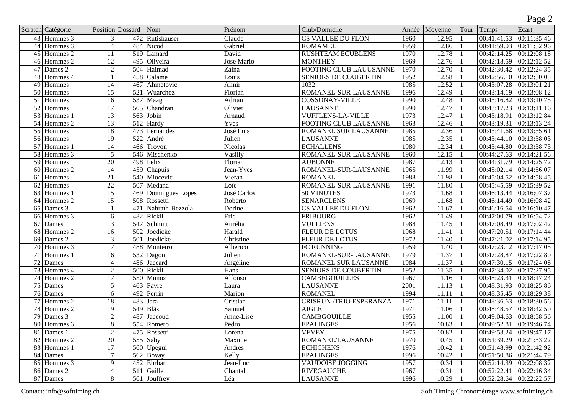|                 |                          |                  |                  |                         |                   |                                |       |             |      |                           | ັ           |
|-----------------|--------------------------|------------------|------------------|-------------------------|-------------------|--------------------------------|-------|-------------|------|---------------------------|-------------|
|                 | Scratch Catégorie        | Position Dossard |                  | Nom                     | Prénom            | Club/Domicile                  | Année | Moyenne     | Tour | Temps                     | Ecart       |
|                 | $43$ Hommes 3            | 3                |                  | 472 Rutishauser         | Claude            | <b>CS VALLEE DU FLON</b>       | 1960  | 12.95       |      | 00:41:41.53               | 00:11:35.46 |
|                 | $\overline{44}$ Hommes 3 | $\overline{4}$   |                  | 484 Nicod               | Gabriel           | <b>ROMAMEL</b>                 | 1959  | 12.86       |      | 00:41:59.03               | 00:11:52.96 |
| 45              | Hommes 2                 | $\overline{11}$  |                  | 519 Lamard              | David             | <b>RUSHTEAM ECUBLENS</b>       | 1970  | 12.78       |      | 00:42:14.25               | 00:12:08.18 |
| 46              | Hommes 2                 | $\overline{12}$  | 495              | Oliveira                | <b>Jose Mario</b> | <b>MONTHEY</b>                 | 1969  | 12.76       |      | 00:42:18.59               | 00:12:12.52 |
| 47              | Dames 2                  | $\overline{2}$   |                  | 504 Haimad              | Zaina             | FOOTING CLUB LAUUSANNE         | 1970  | 12.70       |      | 00:42:30.42               | 00:12:24.35 |
| 48              | Hommes 4                 |                  | 458              | Calame                  | Louis             | <b>SENIORS DE COUBERTIN</b>    | 1952  | 12.58       |      | 00:42:56.10               | 00:12:50.03 |
| $\overline{49}$ | <b>Hommes</b>            | 14               | 467              | Ahmetovic               | Almir             | 1032                           | 1985  | 12.52       |      | 00:43:07.28               | 00:13:01.21 |
| 50              | Hommes                   | $\overline{15}$  | 521              | Wuarchoz                | Florian           | ROMANEL-SUR-LAUSANNE           | 1996  | 12.49       |      | 00:43:14.19               | 00:13:08.12 |
| $\overline{51}$ | <b>Hommes</b>            | $\overline{16}$  |                  | $\overline{537}$ Maag   | Adrian            | <b>COSSONAY-VILLE</b>          | 1990  | 12.48       |      | 00:43:16.82               | 00:13:10.75 |
| $\overline{52}$ | <b>Hommes</b>            | $\overline{17}$  | $\overline{505}$ | Chandran                | Olivier           | <b>LAUSANNE</b>                | 1990  | 12.47       |      | 00:43:17.23               | 00:13:11.16 |
| $\overline{53}$ | Hommes 1                 | $\overline{13}$  |                  | 563 Jobin               | Arnaud            | <b>VUFFLENS-LA-VILLE</b>       | 1973  | 12.47       |      | 00:43:18.91               | 00:13:12.84 |
| $\overline{54}$ | Hommes 2                 | 13               |                  | $512$ Hardy             | Yves              | <b>FOOTING CLUB LAUSANNE</b>   | 1963  | 12.46       |      | 00:43:19.31               | 00:13:13.24 |
| $\overline{55}$ | Hommes                   | 18               |                  | 473 Fernandes           | José Luis         | ROMANEL SUR LAUSANNE           | 1985  | 12.36       |      | 00:43:41.68               | 00:13:35.61 |
| $\overline{56}$ | Hommes                   | $\overline{19}$  | $\overline{522}$ | André                   | Julien            | <b>LAUSANNE</b>                | 1985  | 12.35       |      | 00:43:44.10               | 00:13:38.03 |
| $\overline{57}$ | Hommes 1                 | $\overline{14}$  | 466              | $\sqrt{\text{T}}$ royon | <b>Nicolas</b>    | <b>ECHALLENS</b>               | 1980  | 12.34       |      | 00:43:44.80               | 00:13:38.73 |
| $\overline{58}$ | Hommes 3                 | $\overline{5}$   | 546              | Mischenko               | Vasilly           | ROMANEL-SUR-LAUSANNE           | 1960  | 12.15       |      | 00:44:27.63               | 00:14:21.56 |
| 59              | Hommes                   | 20               | 498              | Felix                   | Florian           | <b>AUBONNE</b>                 | 1987  | 12.13       |      | 00:44:31.79               | 00:14:25.72 |
| 60              | Hommes 2                 | $\overline{14}$  | 459              | Chapuis                 | Jean-Yves         | ROMANEL-SUR-LAUSANNE           | 1965  | 11.99       |      | 00:45:02.14               | 00:14:56.07 |
| 61              | Hommes                   | $\overline{21}$  |                  | 540 Miocevic            | Vjeran            | <b>ROMANEL</b>                 | 1988  | 11.98       |      | 00:45:04.52               | 00:14:58.45 |
| 62              | Hommes                   | $\overline{22}$  | $\overline{507}$ | Medana                  | Loïc              | ROMANEL-SUR-LAUSANNE           | 1991  | 11.80       |      | 00:45:45.59               | 00:15:39.52 |
| 63              | Hommes 1                 | $\overline{15}$  |                  | 469 Domingues Lopes     | José Carlos       | 50 MINUTES                     | 1973  | 11.68       |      | 00:46:13.44               | 00:16:07.37 |
| 64              | Hommes 2                 | $\overline{15}$  |                  | 508 Rossetti            | Roberto           | <b>SENARCLENS</b>              | 1969  | 11.68       |      | 00:46:14.49               | 00:16:08.42 |
| 65              | Dames 3                  |                  | 471              | Nahrath-Bezzola         | Dorine            | <b>CS VALLEE DU FLON</b>       | 1962  | 11.67       |      | 00:46:16.54               | 00:16:10.47 |
| 66              | Hommes 3                 | 6                | 482              | Rickli                  | Eric              | <b>FRIBOURG</b>                | 1962  | 11.49       |      | 00:47:00.79               | 00:16:54.72 |
| 67              | <b>Dames</b>             | $\overline{3}$   | 547              | Schmitt                 | Aurélia           | <b>VULLIENS</b>                | 1988  | 11.45       |      | 00:47:08.49               | 00:17:02.42 |
| 68              | Hommes 2                 | $\overline{16}$  | 502              | Joedicke                | Harald            | <b>FLEUR DE LOTUS</b>          | 1968  | 11.41       |      | 00:47:20.51               | 00:17:14.44 |
| 69              | Dames 2                  | $\overline{3}$   | $\overline{501}$ | Joedicke                | Christine         | <b>FLEUR DE LOTUS</b>          | 1972  | 11.40       |      | 00:47:21.02               | 00:17:14.95 |
| 70              | Hommes 3                 | $\overline{7}$   | 488              | Monteiro                | Alberico          | FC RUNNING                     | 1959  | 11.40       |      | 00:47:23.12               | 00:17:17.05 |
| 71              | Hommes 1                 | $\overline{16}$  |                  | $532$ Dagon             | Julien            | ROMANEL-SUR-LAUSANNE           | 1979  | 11.37       |      | 00:47:28.87               | 00:17:22.80 |
| $\overline{72}$ | Dames                    | $\overline{4}$   | 486              | Jaccard                 | Angéline          | ROMANEL SUR LAUSANNE           | 1984  | 11.37       |      | 00:47:30.15               | 00:17:24.08 |
| $\overline{73}$ | Hommes 4                 | $\overline{2}$   | 500              | Rickli                  | Hans              | <b>SENIORS DE COUBERTIN</b>    | 1952  | 11.35       |      | 00:47:34.02               | 00:17:27.95 |
| $\overline{74}$ | Hommes 2                 | $\overline{17}$  | $\overline{550}$ | Munoz                   | Alfonso           | <b>CAMBEGOUILLES</b>           | 1967  | 11.16       |      | 00:48:23.31               | 00:18:17.24 |
| $\overline{75}$ | Dames                    | 5                | 463              | Favre                   | Laura             | <b>LAUSANNE</b>                | 2001  | 11.13       |      | 00:48:31.93               | 00:18:25.86 |
| $\overline{76}$ | <b>Dames</b>             | 6                | 492              | Perrin                  | Marion            | <b>ROMANEL</b>                 | 1994  | 11.11       |      | 00:48:35.45               | 00:18:29.38 |
| 77              | Hommes <sub>2</sub>      | $\overline{18}$  | 483              | Jara                    | Cristian          | <b>CRISRUN /TRIO ESPERANZA</b> | 1971  | 11.11       |      | 00:48:36.63               | 00:18:30.56 |
| 78              | Hommes 2                 | 19               |                  | 549 Bläsi               | Samuel            | <b>AIGLE</b>                   | 1971  | 11.06       |      | 00:48:48.57               | 00:18:42.50 |
| 79              | Dames 3                  | $\overline{2}$   | 487              | Jaccoud                 | Anne-Lise         | <b>CAMBGOUILLE</b>             | 1955  | 11.00       |      | 00:49:04.63               | 00:18:58.56 |
|                 | 80 Hommes 3              | $\overline{8}$   |                  | 554 Romero              | Pedro             | <b>EPALINGES</b>               | 1956  | 10.83       |      | 00:49:52.81               | 00:19:46.74 |
|                 | $81$ Dames 1             | $\overline{2}$   |                  | 475 Rossetti            | Lorena            | <b>VEVEY</b>                   | 1975  | $10.82$   1 |      | 00:49:53.24 00:19:47.17   |             |
|                 | $82$ Hommes 2            | $\overline{20}$  |                  | $555$ Saby              | Maxime            | ROMANEL/LAUSANNE               | 1970  | $10.45$   1 |      | 00:51:39.29 00:21:33.22   |             |
|                 | 83 Hommes 1              | $\overline{17}$  |                  | $560$ Upegui            | Andres            | <b>ECHICHENS</b>               | 1976  | 10.42       |      | $00:51:48.99$ 00:21:42.92 |             |
|                 | $84$ Dames               | 7                |                  | $562$ Bovay             | Kelly             | <b>EPALINGES</b>               | 1996  | 10.42       |      | 00:51:50.86 00:21:44.79   |             |
|                 | 85 Hommes 3              | $\overline{9}$   |                  | 452 Ehrbar              | Jean-Luc          | <b>VAUDOISE JOGGING</b>        | 1957  | 10.34       |      | 00:52:14.39               | 00:22:08.32 |
|                 | $\sqrt{86}$ Dames 2      | $\overline{4}$   |                  | $511$ Gaille            | Chantal           | <b>RIVEGAUCHE</b>              | 1967  | 10.31       |      | 00:52:22.41               | 00:22:16.34 |
|                 | $87$ Dames               | 8                |                  | 561 Jouffrey            | Léa               | <b>LAUSANNE</b>                | 1996  | 10.29       |      | 00:52:28.64               | 00:22:22.57 |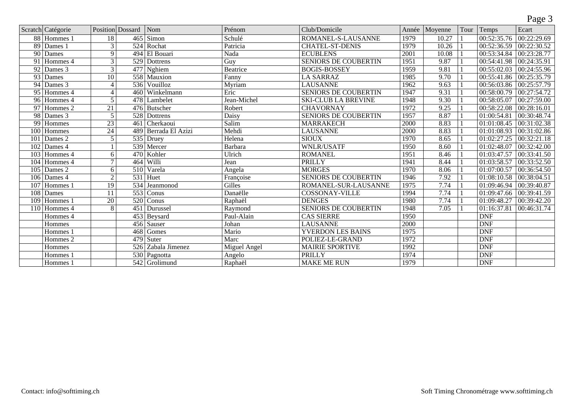|                 |                          |                          |                  |                           |              |                             |       |         |      |                          | Page 3      |
|-----------------|--------------------------|--------------------------|------------------|---------------------------|--------------|-----------------------------|-------|---------|------|--------------------------|-------------|
|                 | Scratch Catégorie        | Position Dossard         |                  | Nom                       | Prénom       | Club/Domicile               | Année | Moyenne | Tour | Temps                    | Ecart       |
|                 | $\overline{88}$ Hommes 1 | 18                       | 465              | Simon                     | Schulé       | ROMANEL-S-LAUSANNE          | 1979  | 10.27   |      | $\overline{00:52:}35.76$ | 00:22:29.69 |
| 89              | Dames 1                  | 3                        |                  | 524 Rochat                | Patricia     | <b>CHATEL-ST-DENIS</b>      | 1979  | 10.26   |      | 00:52:36.59              | 00:22:30.52 |
| $\overline{90}$ | <b>Dames</b>             | 9                        | 494              | El Bouari                 | Nada         | <b>ECUBLENS</b>             | 2001  | 10.08   |      | 00:53:34.84              | 00:23:28.77 |
| 91              | Hommes 4                 | $\overline{3}$           |                  | 529 Dottrens              | Guy          | <b>SENIORS DE COUBERTIN</b> | 1951  | 9.87    |      | 00:54:41.98              | 00:24:35.91 |
| 92              | Dames 3                  | 3                        |                  | 477 Nghiem                | Beatrice     | <b>BOGIS-BOSSEY</b>         | 1959  | 9.81    |      | 00:55:02.03              | 00:24:55.96 |
| 93              | Dames                    | $\overline{10}$          |                  | 558 Mauxion               | Fanny        | <b>LA SARRAZ</b>            | 1985  | 9.70    |      | 00:55:41.86              | 00:25:35.79 |
| 94              | Dames 3                  | $\overline{\mathcal{A}}$ |                  | 536 Vouilloz              | Myriam       | <b>LAUSANNE</b>             | 1962  | 9.63    |      | 00:56:03.86              | 00:25:57.79 |
| 95              | Hommes 4                 | $\overline{\mathcal{A}}$ |                  | 460 Winkelmann            | Eric         | <b>SENIORS DE COUBERTIN</b> | 1947  | 9.31    |      | 00:58:00.79              | 00:27:54.72 |
| 96              | Hommes 4                 | 5                        |                  | 478 Lambelet              | Jean-Michel  | <b>SKI-CLUB LA BREVINE</b>  | 1948  | 9.30    |      | 00:58:05.07              | 00:27:59.00 |
| 97              | Hommes 2                 | $\overline{21}$          |                  | 476 Butscher              | Robert       | <b>CHAVORNAY</b>            | 1972  | 9.25    |      | 00:58:22.08              | 00:28:16.01 |
| 98              | Dames 3                  | $\overline{5}$           |                  | 528 Dottrens              | Daisy        | <b>SENIORS DE COUBERTIN</b> | 1957  | 8.87    |      | 01:00:54.81              | 00:30:48.74 |
| 99              | Hommes                   | $\overline{23}$          | 461              | <b>Cherkaoui</b>          | Salim        | <b>MARRAKECH</b>            | 2000  | 8.83    |      | 01:01:08.45              | 00:31:02.38 |
| 100             | Hommes                   | 24                       |                  | 489 Berrada El Azizi      | Mehdi        | <b>LAUSANNE</b>             | 2000  | 8.83    |      | 01:01:08.93              | 00:31:02.86 |
| 101             | Dames 2                  | 5                        |                  | 535 Druey                 | Helena       | <b>SIOUX</b>                | 1970  | 8.65    |      | 01:02:27.25              | 00:32:21.18 |
| 102             | Dames 4                  |                          |                  | 539 Mercer                | Barbara      | <b>WNLR/USATF</b>           | 1950  | 8.60    |      | 01:02:48.07              | 00:32:42.00 |
| 103             | Hommes 4                 | 6                        |                  | 470 Kohler                | Ulrich       | <b>ROMANEL</b>              | 1951  | 8.46    |      | 01:03:47.57              | 00:33:41.50 |
| 104             | Hommes 4                 | 7                        |                  | 464 Willi                 | Jean         | <b>PRILLY</b>               | 1941  | 8.44    |      | 01:03:58.57              | 00:33:52.50 |
| 105             | Dames 2                  | 6                        |                  | 510 Varela                | Angela       | <b>MORGES</b>               | 1970  | 8.06    |      | 01:07:00.57              | 00:36:54.50 |
| 106             | Dames 4                  | $\overline{2}$           | $\overline{531}$ | Huet                      | Françoise    | <b>SENIORS DE COUBERTIN</b> | 1946  | 7.92    |      | 01:08:10.58              | 00:38:04.51 |
| 107             | Hommes 1                 | $\overline{19}$          | $\overline{534}$ | Jeanmonod                 | Gilles       | ROMANEL-SUR-LAUSANNE        | 1975  | 7.74    |      | 01:09:46.94              | 00:39:40.87 |
| 108             | Dames                    | 11                       | $\overline{553}$ | Conus                     | Danaëlle     | <b>COSSONAY-VILLE</b>       | 1994  | 7.74    |      | 01:09:47.66              | 00:39:41.59 |
| 109             | Hommes 1                 | $\overline{20}$          |                  | $520$ Conus               | Raphaël      | <b>DENGES</b>               | 1980  | 7.74    |      | 01:09:48.27              | 00:39:42.20 |
| 110             | Hommes 4                 | $\overline{8}$           | 451              | Durussel                  | Raymond      | <b>SENIORS DE COUBERTIN</b> | 1948  | 7.05    |      | 01:16:37.81              | 00:46:31.74 |
|                 | Hommes 4                 |                          |                  | 453 Beysard               | Paul-Alain   | <b>CAS SIERRE</b>           | 1950  |         |      | <b>DNF</b>               |             |
|                 | Hommes                   |                          |                  | 456 Sauser                | Johan        | <b>LAUSANNE</b>             | 2000  |         |      | <b>DNF</b>               |             |
|                 | Hommes 1                 |                          | 468              | Gomes                     | Mario        | <b>YVERDON LES BAINS</b>    | 1975  |         |      | <b>DNF</b>               |             |
|                 | Hommes 2                 |                          |                  | $479$ Suter               | Marc         | POLIEZ-LE-GRAND             | 1972  |         |      | <b>DNF</b>               |             |
|                 | Hommes                   |                          | 526              | Zabala Jimenez            | Miguel Angel | <b>MAIRIE SPORTIVE</b>      | 1992  |         |      | <b>DNF</b>               |             |
|                 | Hommes 1                 |                          |                  | $\overline{530}$ Pagnotta | Angelo       | PRILLY                      | 1974  |         |      | <b>DNF</b>               |             |
|                 | Hommes 1                 |                          |                  | 542 Grolimund             | Raphaël      | <b>MAKE ME RUN</b>          | 1979  |         |      | <b>DNF</b>               |             |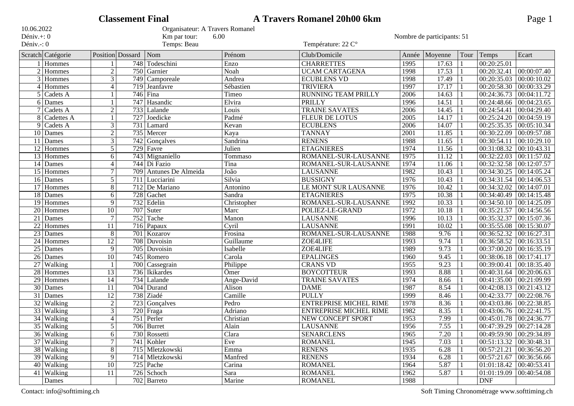|                 |                       |                  | <b>Classement Final</b> |                                 |             | <b>A Travers Romanel 20h00 6km</b> |       |                            |      |                             | Page 1      |
|-----------------|-----------------------|------------------|-------------------------|---------------------------------|-------------|------------------------------------|-------|----------------------------|------|-----------------------------|-------------|
| 10.06.2022      |                       |                  |                         | Organisateur: A Travers Romanel |             |                                    |       |                            |      |                             |             |
| Déniv.+: 0      |                       |                  |                         | Km par tour:<br>6.00            |             |                                    |       | Nombre de participants: 51 |      |                             |             |
| Déniv.-: 0      |                       |                  |                         | Temps: Beau                     |             | Température: 22 C°                 |       |                            |      |                             |             |
|                 | Scratch Catégorie     | Position Dossard |                         | Nom                             | Prénom      | Club/Domicile                      | Année | Moyenne                    | Tour | Temps                       | Ecart       |
|                 | $1$ Hommes            |                  |                         | 748 Todeschini                  | Enzo        | <b>CHARRETTES</b>                  | 1995  | 17.63                      |      | 00:20:25.01                 |             |
|                 | $2$ Hommes            | $\overline{2}$   | 750                     | Garnier                         | Noah        | <b>UCAM CARTAGENA</b>              | 1998  | 17.53                      |      | 00:20:32.41                 | 00:00:07.40 |
| 3               | Hommes                | 3                | 749                     | Camporeale                      | Andrea      | <b>ECUBLENS VD</b>                 | 1998  | 17.49                      |      | 00:20:35.03                 | 00:00:10.02 |
| 4               | Hommes                | $\overline{4}$   | 719                     | Jeanfavre                       | Sébastien   | <b>TRIVIERA</b>                    | 1997  | 17.17                      |      | 00:20:58.30                 | 00:00:33.29 |
| 5               | Cadets A              |                  | 746                     | Fina                            | Timeo       | RUNNING TEAM PRILLY                | 2006  | 14.63                      |      | 00:24:36.73                 | 00:04:11.72 |
|                 | $\overline{6}$ Dames  |                  | 747                     | Hasandic                        | Elvira      | <b>PRILLY</b>                      | 1996  | 14.51                      |      | 00:24:48.66                 | 00:04:23.65 |
|                 | $7$ Cadets A          | $\overline{2}$   | 733                     | Lalande                         | Louis       | <b>TRAINE SAVATES</b>              | 2006  | 14.45                      |      | 00:24:54.41                 | 00:04:29.40 |
|                 | 8 Cadettes A          |                  | 727                     | Joedicke                        | Padmé       | <b>FLEUR DE LOTUS</b>              | 2005  | 14.17                      |      | 00:25:24.20                 | 00:04:59.19 |
| 9               | Cadets A              | $\overline{3}$   | 731                     | Lamard                          | Kevan       | <b>ECUBLENS</b>                    | 2006  | 14.07                      |      | 00:25:35.35                 | 00:05:10.34 |
|                 | $\overline{10}$ Dames | $\overline{2}$   |                         | 735 Mercer                      | Kaya        | <b>TANNAY</b>                      | 2001  | 11.85                      |      | 00:30:22.09                 | 00:09:57.08 |
|                 | $11$ Dames            | $\overline{3}$   | 742                     | Gonçalves                       | Sandrina    | <b>RENENS</b>                      | 1988  | 11.65                      |      | 00:30:54.11                 | 00:10:29.10 |
| 12              | Hommes                | 5                | 729                     | Favre                           | Julien      | <b>ETAGNIERES</b>                  | 1974  | 11.56                      |      | 00:31:08.32                 | 00:10:43.31 |
| 13              | <b>Hommes</b>         | 6                |                         | 743 Mignaniello                 | Tommaso     | ROMANEL-SUR-LAUSANNE               | 1975  | 11.12                      |      | 00:32:22.03                 | 00:11:57.02 |
| 14              | Dames                 | $\overline{4}$   |                         | 744 Di Fazio                    | Tina        | ROMANEL-SUR-LAUSANNE               | 1974  | 11.06                      |      | 00:32:32.58                 | 00:12:07.57 |
| 15              | Hommes                | $\tau$           | 709                     | Antunes De Almeida              | João        | <b>LAUSANNE</b>                    | 1982  | 10.43                      |      | 00:34:30.25                 | 00:14:05.24 |
|                 | $16$ Dames            | $\overline{5}$   |                         | 711 Lucciarini                  | Silvia      | <b>BUSSIGNY</b>                    | 1976  | 10.43                      |      | 00:34:31.54                 | 00:14:06.53 |
| 17              | Hommes                | 8                |                         | 712 De Mariano                  | Antonino    | <b>LE MONT SUR LAUSANNE</b>        | 1976  | 10.42                      |      | 00:34:32.02                 | 00:14:07.01 |
| 18              | Dames                 | 6                | 728                     | Gachet                          | Sandra      | <b>ETAGNIERES</b>                  | 1975  | 10.38                      |      | 00:34:40.49                 | 00:14:15.48 |
| 19              | Hommes                | 9                | 732                     | Edelin                          | Christopher | ROMANEL-SUR-LAUSANNE               | 1992  | 10.33                      |      | 00:34:50.10                 | 00:14:25.09 |
| $\overline{20}$ | Hommes                | 10               | 707                     | Suter                           | Marc        | POLIEZ-LE-GRAND                    | 1972  | 10.18                      |      | 00:35:21.57                 | 00:14:56.56 |
| 21              | Dames                 | $\overline{7}$   | 752                     | Tache                           | Manon       | <b>LAUSANNE</b>                    | 1996  | 10.13                      |      | 00:35:32.37                 | 00:15:07.36 |
| $\overline{22}$ | Hommes                | 11               |                         | $\overline{716}$ Papaux         | Cyril       | <b>LAUSANNE</b>                    | 1991  | 10.02                      |      | 00:35:55.08                 | 00:15:30.07 |
| $\overline{23}$ | Dames                 | 8                | $\overline{701}$        | Kozarov                         | Frosina     | ROMANEL-SUR-LAUSANNE               | 1988  | 9.76                       |      | 00:36:52.32                 | 00:16:27.31 |
| $\overline{24}$ | Hommes                | 12               | 708                     | Duvoisin                        | Guillaume   | ZOE4LIFE                           | 1993  | 9.74                       |      | 00:36:58.52                 | 00:16:33.51 |
| $\overline{25}$ | Dames                 | 9                | 705                     | Duvoisin                        | Isabelle    | <b>ZOE4LIFE</b>                    | 1989  | 9.73                       |      | 00:37:00.20                 | 00:16:35.19 |
| $\overline{26}$ | Dames                 | $\overline{10}$  | 745                     | Romero                          | Carola      | <b>EPALINGES</b>                   | 1960  | 9.45                       |      | 00:38:06.18                 | 00:17:41.17 |
| 27              | <b>Walking</b>        |                  | 700                     | Cassegrain                      | Philippe    | <b>CRANS VD</b>                    | 1955  | 9.23                       |      | 00:39:00.41   00:18:35.40   |             |
| $\overline{28}$ | <b>Hommes</b>         | 13               |                         | 736 Ikikardes                   | Ömer        | <b>BOYCOTTEUR</b>                  | 1993  | 8.88                       |      | 00:40:31.64                 | 00:20:06.63 |
| $\overline{29}$ | Hommes                | 14               |                         | 734 Lalande                     | Ange-David  | <b>TRAINE SAVATES</b>              | 1974  | 8.66                       |      | 00:41:35.00                 | 00:21:09.99 |
| $\overline{30}$ | Dames                 | 11               | 704                     | Durand                          | Alison      | <b>DAME</b>                        | 1987  | 8.54                       |      | 00:42:08.13                 | 00:21:43.12 |
| $\overline{31}$ | Dames                 | 12               | 738                     | Ziadé                           | Camille     | PULLY                              | 1999  | 8.46                       |      | 00:42:33.77                 | 00:22:08.76 |
| $\overline{32}$ | <b>Walking</b>        | $\boldsymbol{2}$ | 723                     | Gonçalves                       | Pedro       | <b>ENTREPRISE MICHEL RIME</b>      | 1978  | 8.36                       |      | 00:43:03.86                 | 00:22:38.85 |
| $\overline{33}$ | Walking               | $\overline{3}$   | 720                     | Fraga                           | Adriano     | <b>ENTREPRISE MICHEL RIME</b>      | 1982  | 8.35                       |      | 00:43:06.76                 | 00:22:41.75 |
|                 | 34 Walking            | $\overline{4}$   |                         | $751$ Perler                    | Christian   | NEW CONCEPT SPORT                  | 1953  | 7.99                       |      | 00:45:01.78 00:24:36.77     |             |
|                 | 35 Walking            | $\overline{5}$   |                         | 706 Burret                      | Alain       | <b>LAUSANNE</b>                    | 1956  | 7.55                       |      | 00:47:39.29 00:27:14.28     |             |
|                 | 36 Walking            | 6                |                         | 730 Rossetti                    | Clara       | <b>SENARCLENS</b>                  | 1965  | 7.20                       |      | 00:49:59.90 00:29:34.89     |             |
|                 | 37 Walking            | 7                |                         | 741 Kohler                      | Eve         | <b>ROMANEL</b>                     | 1945  | 7.03                       |      | $00:51:13.32$ $00:30:48.31$ |             |
|                 | 38 Walking            | $\overline{8}$   |                         | 715 Mletzkowski                 | Emma        | <b>RENENS</b>                      | 1935  | 6.28                       |      | $00:57:21.21$ 00:36:56.20   |             |
|                 | $\sqrt{39}$ Walking   | 9                |                         | 714 Mletzkowski                 | Manfred     | <b>RENENS</b>                      | 1934  | 6.28                       |      | 00:57:21.67 00:36:56.66     |             |
|                 | 40 Walking            | $\overline{10}$  |                         | $725$ Pache                     | Carina      | <b>ROMANEL</b>                     | 1964  | 5.87                       |      | 01:01:18.42 00:40:53.41     |             |
|                 | 41 Walking            | 11               |                         | 726 Schoch                      | Sara        | <b>ROMANEL</b>                     | 1962  | 5.87                       |      | $\overline{01:01:19.09}$    | 00:40:54.08 |
|                 | Dames                 |                  |                         | 702 Barreto                     | Marine      | <b>ROMANEL</b>                     | 1988  |                            |      | <b>DNF</b>                  |             |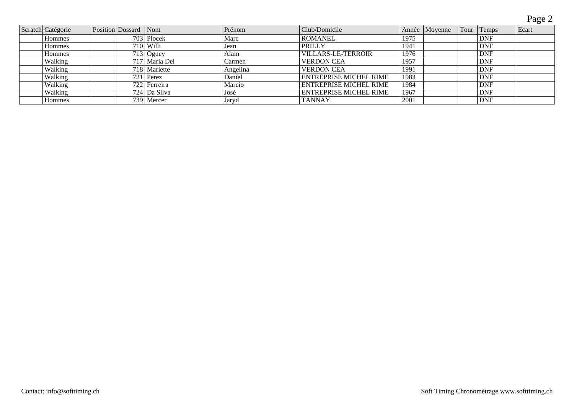Page 2

| Scratch Catégorie | Position Dossard Nom |                | Prénom   | Club/Domicile                 |      | Année Moyenne | Tour Temps | Ecart |
|-------------------|----------------------|----------------|----------|-------------------------------|------|---------------|------------|-------|
| Hommes            |                      | $703$ Plocek   | Marc     | <b>ROMANEL</b>                | 1975 |               | <b>DNF</b> |       |
| <b>Hommes</b>     |                      | $710$ Willi    | Jean     | PRILLY                        | 194  |               | <b>DNF</b> |       |
| <b>Hommes</b>     |                      | $713$ Oguey    | Alain    | <b>VILLARS-LE-TERROIR</b>     | 1976 |               | <b>DNF</b> |       |
| Walking           |                      | 717 Maria Del  | Carmen   | <b>VERDON CEA</b>             | 1957 |               | <b>DNF</b> |       |
| Walking           |                      | 718 Mariette   | Angelina | <b>VERDON CEA</b>             | 1991 |               | <b>DNF</b> |       |
| Walking           |                      | $721$ Perez    | Daniel   | <b>ENTREPRISE MICHEL RIME</b> | 1983 |               | <b>DNF</b> |       |
| Walking           |                      | 722 Ferreira   | Marcio   | <b>ENTREPRISE MICHEL RIME</b> | 1984 |               | <b>DNF</b> |       |
| Walking           |                      | 724   Da Silva | José     | <b>ENTREPRISE MICHEL RIME</b> | 1967 |               | <b>DNF</b> |       |
| <b>Hommes</b>     |                      | 739 Mercer     | Jaryd    | <b>TANNAY</b>                 | 2001 |               | <b>DNF</b> |       |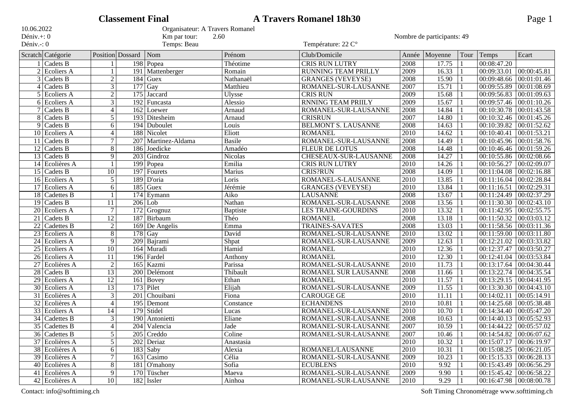|                 |                            |                 | <b>Classement Final</b> |                             |                                 | <b>A Travers Romanel 18h30</b> |                   |         |      |                           | Page 1      |  |
|-----------------|----------------------------|-----------------|-------------------------|-----------------------------|---------------------------------|--------------------------------|-------------------|---------|------|---------------------------|-------------|--|
| 10.06.2022      |                            |                 |                         |                             | Organisateur: A Travers Romanel |                                |                   |         |      |                           |             |  |
| Déniv.+: 0      |                            |                 |                         | Km par tour:                | 2.60                            | Nombre de participants: 49     |                   |         |      |                           |             |  |
| Déniv.-: 0      |                            |                 |                         | Temps: Beau                 |                                 | Température: 22 C°             |                   |         |      |                           |             |  |
|                 | Scratch Catégorie          |                 | Position Dossard        | $\sqrt{\frac{1}{2}}$        | Prénom                          | Club/Domicile                  | Année             | Moyenne | Tour | Temps                     | Ecart       |  |
|                 | Cadets B                   |                 |                         | 198 Popea                   | Théotime                        | <b>CRIS RUN LUTRY</b>          | 2008              | 17.75   |      | 00:08:47.20               |             |  |
| $\overline{2}$  | <b>Ecoliers A</b>          | $\mathbf{1}$    | 191                     | Mattenberger                | Romain                          | RUNNING TEAM PRILLY            | 2009              | 16.33   |      | 00:09:33.01               | 00:00:45.81 |  |
| 3               | Cadets $\overline{B}$      | $\overline{2}$  |                         | $184$ Guex                  | Nathanaël                       | <b>GRANGES (VEVEYSE)</b>       | 2008              | 15.90   |      | 00:09:48.66               | 00:01:01.46 |  |
| 4               | Cadets B                   | $\overline{3}$  |                         | $177$ Gay                   | Matthieu                        | ROMANEL-SUR-LAUSANNE           | 2007              | 15.71   |      | 00:09:55.89               | 00:01:08.69 |  |
|                 | 5 Ecoliers A               | $\overline{2}$  |                         | 175 Jaccard                 | <b>Ulysse</b>                   | <b>CRIS RUN</b>                | 2009              | 15.68   |      | 00:09:56.83               | 00:01:09.63 |  |
|                 | $6$ Ecoliers A             | $\overline{3}$  |                         | 192 Funcasta                | Alessio                         | <b>RNNING TEAM PRIILY</b>      | 2009              | 15.67   |      | 00:09:57.46               | 00:01:10.26 |  |
|                 | Cadets B                   | $\overline{4}$  |                         | 162 Loewer                  | Arnaud                          | ROMANEL-SUR-LAUSANNE           | 2008              | 14.84   |      | 00:10:30.78               | 00:01:43.58 |  |
| 8               | Cadets B                   | 5               |                         | 193 Ditesheim               | Arnaud                          | <b>CRISRUN</b>                 | 2007              | 14.80   |      | 00:10:32.46               | 00:01:45.26 |  |
| 9               | Cadets B                   | 6               |                         | 194 Duboulet                | Louis                           | <b>BELMONT S. LAUSANNE</b>     | 2008              | 14.63   |      | 00:10:39.82               | 00:01:52.62 |  |
|                 | $10$ Ecoliers A            | $\overline{4}$  |                         | 188 Nicolet                 | Eliott                          | <b>ROMANEL</b>                 | 2010              | 14.62   |      | 00:10:40.41               | 00:01:53.21 |  |
| 11              | Cadets B                   | $\tau$          |                         | 207   Martinez-Aldama       | <b>Basile</b>                   | ROMANEL-SUR-LAUSANNE           | 2008              | 14.49   |      | 00:10:45.96               | 00:01:58.76 |  |
| 12              | Cadets B                   | 8               |                         | 186 Joedicke                | Amadéo                          | <b>FLEUR DE LOTUS</b>          | 2008              | 14.48   |      | 00:10:46.46               | 00:01:59.26 |  |
| 13              | Cadets B                   | 9               |                         | $203$ Gindroz               | <b>Nicolas</b>                  | CHESEAUX-SUR-LAUSANNE          | 2008              | 14.27   |      | 00:10:55.86               | 00:02:08.66 |  |
| 14              | Ecolières A                | $\mathbf{1}$    |                         | 199 Popea                   | Emilia                          | CRIS RUN LUTRY                 | $\overline{2010}$ | 14.26   |      | 00:10:56.27               | 00:02:09.07 |  |
|                 | $15$ Cadets B              | $\overline{10}$ |                         | 197 Fourets                 | Marius                          | <b>CRIS?RUN</b>                | 2008              | 14.09   |      | 00:11:04.08               | 00:02:16.88 |  |
| 16              | Ecoliers A                 | 5               |                         | 189 D'oria                  | Loris                           | ROMANEL-S-LAUSANNE             | 2010              | 13.85   |      | 00:11:16.04               | 00:02:28.84 |  |
| 17              | Ecoliers A                 | 6               |                         | $185$ Guex                  | Jérémie                         | <b>GRANGES (VEVEYSE)</b>       | 2010              | 13.84   |      | 00:11:16.51               | 00:02:29.31 |  |
| 18              | Cadettes B                 | $\mathbf{1}$    | 174                     | $\overline{E}$ ymann        | Aiko                            | <b>LAUSANNE</b>                | 2008              | 13.67   |      | 00:11:24.49               | 00:02:37.29 |  |
| 19              | Cadets B                   | 11              |                         | $206$ Lob                   | Nathan                          | ROMANEL-SUR-LAUSANNE           | 2008              | 13.56   |      | 00:11:30.30               | 00:02:43.10 |  |
| $\overline{20}$ | <b>Ecoliers A</b>          | $\tau$          |                         | $\overline{172}$ Grognuz    | <b>Baptiste</b>                 | <b>LES TRAINE-GOURDINS</b>     | 2010              | 13.32   |      | 00:11:42.95               | 00:02:55.75 |  |
| $\overline{21}$ | Cadets B                   | 12              |                         | 187 Birbaum                 | Théo                            | <b>ROMANEL</b>                 | 2008              | 13.18   |      | 00:11:50.32               | 00:03:03.12 |  |
| $\overline{22}$ | Cadettes B                 | $\overline{2}$  |                         | $\overline{169}$ De Angelis | Emma                            | <b>TRAINES-SAVATES</b>         | 2008              | 13.03   |      | 00:11:58.56               | 00:03:11.36 |  |
| $\overline{23}$ | Ecoliers A                 | 8               |                         | $178$ Gay                   | David                           | ROMANEL-SUR-LAUSANNE           | 2010              | 13.02   |      | 00:11:59.00               | 00:03:11.80 |  |
|                 | 24 Ecoliers A              | 9               |                         | 209 Bajrami                 | Shpat                           | ROMANEL-SUR-LAUSANNE           | 2009              | 12.63   |      | 00:12:21.02               | 00:03:33.82 |  |
| $\overline{25}$ | Ecoliers A                 | $\overline{10}$ |                         | 164 Muradi                  | Hamid                           | <b>ROMANEL</b>                 | 2010              | 12.36   |      | 00:12:37.47               | 00:03:50.27 |  |
| $\overline{26}$ | Ecoliers A                 | 11              |                         | 196 Fardel                  | Anthony                         | <b>ROMANEL</b>                 | $\overline{2010}$ | 12.30   |      | 00:12:41.04               | 00:03:53.84 |  |
| $\overline{27}$ | Ecolières A                | $\overline{2}$  | 165                     | Kazmi                       | Parissa                         | ROMANEL-SUR-LAUSANNE           | 2010              | 11.73   |      | 00:13:17.64               | 00:04:30.44 |  |
| 28              | Cadets $\overline{B}$      | 13              |                         | 200 Delémont                | Thibault                        | ROMANEL SUR LAUSANNE           | 2008              | 11.66   |      | 00:13:22.74               | 00:04:35.54 |  |
| $\overline{29}$ | Ecoliers A                 | 12              | 161                     | Bovey                       | Ethan                           | <b>ROMANEL</b>                 | 2010              | 11.57   |      | 00:13:29.15               | 00:04:41.95 |  |
| $\overline{30}$ | Ecoliers A                 | $\overline{13}$ |                         | 173 Pilet                   | Elijah                          | ROMANEL-SUR-LAUSANNE           | 2009              | 11.55   |      | 00:13:30.30               | 00:04:43.10 |  |
| $\overline{31}$ | Ecolières A                | $\overline{3}$  | 201                     | Chouibani                   | Fiona                           | <b>CAROUGE GE</b>              | 2010              | 11.11   |      | 00:14:02.11               | 00:05:14.91 |  |
| $\overline{32}$ | Ecolières A                | $\overline{4}$  |                         | 195 Demont                  | Constance                       | <b>ECHANDENS</b>               | 2010              | 10.81   |      | 00:14:25.68               | 00:05:38.48 |  |
|                 | 33 Ecoliers A              | 14              |                         | 179 Stidel                  | Lucas                           | ROMANEL-SUR-LAUSANNE           | 2010              | 10.70   |      | 00:14:34.40               | 00:05:47.20 |  |
|                 | $\overline{34}$ Cadettes B | $\mathfrak{Z}$  |                         | 190 Antonietti              | Eliane                          | ROMANEL-SUR-LAUSANNE           | 2008              | 10.63   |      | 00:14:40.13 00:05:52.93   |             |  |
|                 | 35 Cadettes B              | $\overline{4}$  |                         | 204 Valencia                | Jade                            | ROMANEL-SUR-LAUSANNE           | 2007              | 10.59   |      | 00:14:44.22               | 00:05:57.02 |  |
|                 | 36 Cadettes B              | $\overline{5}$  |                         | 205 Creddo                  | Coline                          | ROMANEL-SUR-LAUSANNE           | 2007              | 10.46   |      | 00:14:54.82               | 00:06:07.62 |  |
|                 | 37 Ecolières A             | $\overline{5}$  |                         | $\overline{202}$ Deriaz     | Anastasia                       |                                | 2010              | 10.32   |      | 00:15:07.17               | 00:06:19.97 |  |
|                 | 38 Ecolières A             | 6               |                         | $183$ Saby                  | Alexia                          | ROMANEL/LAUSANNE               | 2010              | 10.31   |      | 00:15:08.25               | 00:06:21.05 |  |
|                 | $39$ Ecolières A           | $\tau$          |                         | 163 Casimo                  | Célia                           | ROMANEL-SUR-LAUSANNE           | 2009              | 10.23   |      | 00:15:15.33               | 00:06:28.13 |  |
|                 | $40$ Ecolières A           | $\overline{8}$  |                         | 181 O'mahony                | Sofia                           | <b>ECUBLENS</b>                | 2010              | 9.92    |      | 00:15:43.49               | 00:06:56.29 |  |
|                 | 41 Ecolières A             | 9               |                         | 170 Tüscher                 | Maeva                           | ROMANEL-SUR-LAUSANNE           | 2009              | 9.90    |      | $00:15:45.42$ 00:06:58.22 |             |  |
|                 | $42$ Ecolières A           | 10              |                         | 182 Issler                  | Ainhoa                          | ROMANEL-SUR-LAUSANNE           | 2010              | 9.29    |      | 00:16:47.98 00:08:00.78   |             |  |

Contact: info@softtiming.ch Soft Timing Chronométrage www.softtiming.ch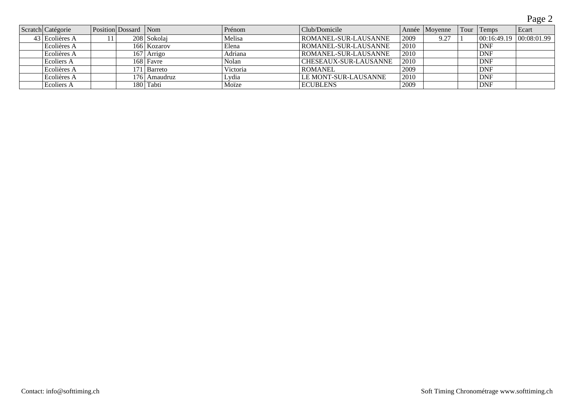Page 2

| Scratch Catégorie | Position Dossard Nom |               | Prénom   | Club/Domicile                |        | Année   Movenne | Tour | Temps      | Ecart                   |
|-------------------|----------------------|---------------|----------|------------------------------|--------|-----------------|------|------------|-------------------------|
| 43 Ecolières A    |                      | 208 Sokolaj   | Melisa   | <b>ROMANEL-SUR-LAUSANNE</b>  | 2009   | 9.27            |      |            | 00:16:49.19 00:08:01.99 |
| Ecolières A       |                      | 166 Kozarov   | Elena    | ROMANEL-SUR-LAUSANNE         | 2010   |                 |      | <b>DNF</b> |                         |
| Ecolières A       | 167                  | <i>Arrigo</i> | Adriana  | ROMANEL-SUR-LAUSANNE         | 2010   |                 |      | <b>DNF</b> |                         |
| Ecoliers A        |                      | 168   Favre   | Nolan    | <b>CHESEAUX-SUR-LAUSANNE</b> | 2010   |                 |      | <b>DNF</b> |                         |
| Ecolières A       |                      | 171 Barreto   | Victoria | <b>ROMANEL</b>               | 2009   |                 |      | <b>DNF</b> |                         |
| Ecolières A       | 176                  | Amaudruz      | Lydia    | LE MONT-SUR-LAUSANNE         | '2010' |                 |      | <b>DNF</b> |                         |
| Ecoliers A        |                      | 180 Tabti     | Moïze    | <b>ECUBLENS</b>              | 2009   |                 |      | <b>DNF</b> |                         |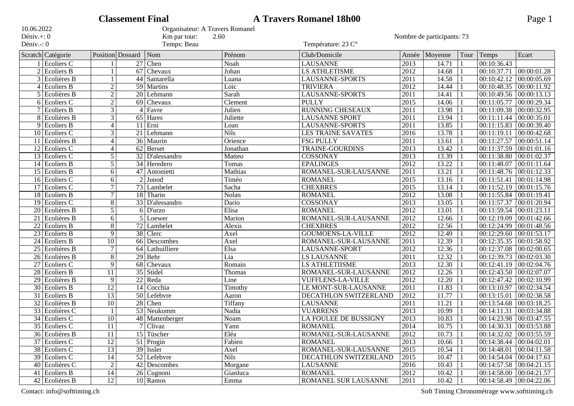|                 |                   |                 | <b>Classement Final</b> |                                 |             | <b>A Travers Romanel 18h00</b> |                   |         |      |                                 | Page 1      |
|-----------------|-------------------|-----------------|-------------------------|---------------------------------|-------------|--------------------------------|-------------------|---------|------|---------------------------------|-------------|
| 10.06.2022      |                   |                 |                         | Organisateur: A Travers Romanel |             |                                |                   |         |      |                                 |             |
| Déniv.+: 0      |                   |                 |                         | Km par tour:<br>2.60            |             | Nombre de participants: 73     |                   |         |      |                                 |             |
| Déniv.-: 0      |                   |                 |                         | Temps: Beau                     |             | Température: 23 C°             |                   |         |      |                                 |             |
|                 | Scratch Catégorie |                 | <b>Position</b> Dossard | Nom                             | Prénom      | Club/Domicile                  | Année             | Moyenne | Tour | Temps                           | Ecart       |
|                 | Ecoliers C        |                 |                         | 27 Chen                         | Noah        | <b>LAUSANNE</b>                | 2013              | 14.71   |      | 00:10:36.43                     |             |
|                 | $2$ Ecoliers B    |                 |                         | 67 Chevaux                      | Johan       | <b>LS ATHLETISME</b>           | 2012              | 14.68   |      | 00:10:37.71                     | 00:00:01.28 |
|                 | $3$ Ecolières B   |                 |                         | 44 Santarella                   | Luana       | <b>LAUSANNE-SPORTS</b>         | $\overline{2011}$ | 14.58   |      | 00:10:42.12                     | 00:00:05.69 |
| 4               | Ecoliers B        | $\overline{2}$  |                         | $\overline{59}$ Martins         | Loïc        | <b>TRIVIERA</b>                | 2012              | 14.44   |      | 00:10:48.35                     | 00:00:11.92 |
| 5               | Ecolières B       | $\overline{2}$  |                         | 20 Lehmann                      | Sarah       | <b>LAUSANNE-SPORTS</b>         | 2011              | 14.41   |      | 00:10:49.56                     | 00:00:13.13 |
| 6               | Ecoliers C        | $\overline{2}$  |                         | 69 Chevaux                      | Clement     | <b>PULLY</b>                   | 2015              | 14.06   |      | 00:11:05.77                     | 00:00:29.34 |
|                 | Ecoliers B        | 3               |                         | $4$ Favre                       | Julien      | <b>RUNNING CHESEAUX</b>        | 2011              | 13.98   |      | 00:11:09.38                     | 00:00:32.95 |
|                 | 8 Ecolières B     | $\overline{3}$  |                         | 65 Hares                        | Juliette    | <b>LAUSANNE SPORT</b>          | $\overline{2011}$ | 13.94   |      | 00:11:11.44                     | 00:00:35.01 |
|                 | $9$ Ecoliers B    | $\overline{4}$  |                         | $11$ Erni                       | Loan        | <b>LAUSANNE-SPORTS</b>         | $\overline{2011}$ | 13.85   |      | 00:11:15.83                     | 00:00:39.40 |
|                 | $10$ Ecoliers C   | 3               |                         | $\overline{21}$ Lehmann         | <b>Nils</b> | <b>LES TRAINE SAVATES</b>      | $\overline{2016}$ | 13.78   |      | 00:11:19.11                     | 00:00:42.68 |
| 11              | Ecolières B       | $\overline{4}$  |                         | 36 Maurin                       | Orience     | <b>FSG PULLY</b>               | 2011              | 13.61   |      | 00:11:27.57                     | 00:00:51.14 |
|                 | $12$ Ecoliers C   | $\overline{4}$  |                         | $\overline{62}$ Berset          | Jonathan    | <b>TRAINE-GOURDINS</b>         | $\overline{2013}$ | 13.42   |      | 00:11:37.59                     | 00:01:01.16 |
|                 | $13$ Ecoliers C   | 5               |                         | $32$ D'alessandro               | Matteo      | <b>COSSONAY</b>                | 2013              | 13.39   |      | 00:11:38.80                     | 00:01:02.37 |
| 14              | Ecoliers B        | 5               |                         | 34 Heredero                     | Tomas       | <b>EPALINGES</b>               | $\overline{2012}$ | 13.22   |      | 00:11:48.07                     | 00:01:11.64 |
| 15              | Ecoliers B        | 6               | $\overline{47}$         | Antonietti                      | Mathias     | ROMANEL-SUR-LAUSANNE           | $\overline{2011}$ | 13.21   |      | 00:11:48.76                     | 00:01:12.33 |
| 16              | Ecoliers C        | 6               |                         | Junod                           | Timéo       | <b>ROMANEL</b>                 | $\sqrt{2015}$     | 13.16   |      | 00:11:51.41                     | 00:01:14.98 |
|                 | $17$ Ecoliers C   | $\overline{7}$  |                         | 73 Lambelet                     | Sacha       | <b>CHEXBRES</b>                | 2015              | 13.14   |      | 00:11:52.19                     | 00:01:15.76 |
|                 | $18$ Ecoliers B   | $\overline{7}$  |                         | 18 Tharin                       | Nolan       | <b>ROMANEL</b>                 | 2012              | 13.08   |      | 00:11:55.84                     | 00:01:19.41 |
| $\overline{19}$ | Ecoliers C        | 8               |                         | 33 D'alessandro                 | Dario       | COSSONAY                       | $\overline{2013}$ | 13.05   |      | 00:11:57.37                     | 00:01:20.94 |
| $\overline{20}$ | Ecolières B       | 5               |                         | $6$ D'urzo                      | Elisa       | <b>ROMANEL</b>                 | 2012              | 13.01   |      | 00:11:59.54                     | 00:01:23.11 |
| 21              | Ecolières B       | 6               |                         | $\overline{5}$ Loewer           | Marion      | ROMANEL-SUR-LAUSANNE           | 2012              | 12.66   |      | 00:12:19.09                     | 00:01:42.66 |
| $\overline{22}$ | Ecoliers B        | 8               |                         | $\overline{72}$ Lambelet        | Alexis      | <b>CHEXBRES</b>                | $\overline{2012}$ | 12.56   |      | 00:12:24.99                     | 00:01:48.56 |
| $\overline{23}$ | Ecoliers B        | 9               |                         | 38 Clerc                        | Axel        | <b>GOUMOENS-LA-VILLE</b>       | $\overline{2012}$ | 12.49   |      | 00:12:29.60                     | 00:01:53.17 |
| $\overline{24}$ | Ecoliers B        | 10              |                         | 66 Descombes                    | Axel        | ROMANEL-SUR-LAUSANNE           | $\overline{2011}$ | 12.39   |      | 00:12:35.35                     | 00:01:58.92 |
| $\overline{25}$ | Ecolières B       | $\overline{7}$  |                         | 64 Lathuilliere                 | Elsa        | LAUSANNE-SPORT                 | 2012              | 12.36   |      | 00:12:37.08                     | 00:02:00.65 |
| $\overline{26}$ | Ecolières B       | $\overline{8}$  |                         | $29$ Behr                       | Lia         | <b>LS LAUSANNE</b>             | $\overline{2011}$ | 12.32   |      | 00:12:39.73                     | 00:02:03.30 |
| $\overline{27}$ | Ecoliers C        | 9               |                         | 68 Chevaux                      | Romain      | <b>LS ATHLETIISME</b>          | 2013              | 12.30   |      | 00:12:41.19                     | 00:02:04.76 |
| $\overline{28}$ | Ecoliers B        | 11              |                         | 35 Stidel                       | Thomas      | ROMANEL-SUR-LAUSANNE           | 2012              | 12.26   |      | 00:12:43.50                     | 00:02:07.07 |
| $\overline{29}$ | Ecolières B       | 9               |                         | 22 Reda                         | Line        | <b>VUFFLENS-LA-VILLE</b>       | 2012              | 12.20   |      | 00:12:47.42                     | 00:02:10.99 |
| $\overline{30}$ | Ecoliers B        | 12              |                         | 14 Cocchia                      | Timothy     | LE MONT-SUR-LAUSANNE           | $\overline{2011}$ | 11.83   |      | 00:13:10.97                     | 00:02:34.54 |
|                 | 31 Ecoliers B     | $\overline{13}$ |                         | 50 Lefebvre                     | Aaron       | DECATHLON SWITZERLAND          | $\overline{2012}$ | 11.77   |      | 00:13:15.01                     | 00:02:38.58 |
| $\overline{32}$ | Ecolières B       | 10              |                         | $28$ Chen                       | Tiffany     | <b>LAUSANNE</b>                | 2011              | 11.21   |      | 00:13:54.68                     | 00:03:18.25 |
| $\overline{33}$ | Ecolières C       |                 |                         | 53 Neukomm                      | Nadia       | <b>VUARRENS</b>                | 2013              | 10.99   |      | 00:14:11.31                     | 00:03:34.88 |
|                 | $34$ Ecoliers C   | 10              |                         | 48 Mattenberger                 | Noam        | LA FOULEE DE BUSSIGNY          | 2013              | 10.83   |      | 00:14:23.98 00:03:47.55         |             |
|                 | 35 Ecoliers C     | 11              |                         | 7 Clivaz                        | Yann        | <b>ROMANEL</b>                 | 2014              | 10.75   |      | $[00:14:30.31]$ $[00:03:53.88]$ |             |
|                 | $36$ Ecolières B  | 11              |                         | 15 Tüscher                      | Eléa        | ROMANEL-SUR-LAUSANNE           | 2012              | 10.73   |      | $00:14:32.02$ $00:03:55.59$     |             |
|                 | 37 Ecoliers C     | 12              |                         | $51$ Progin                     | Fabien      | <b>ROMANEL</b>                 | $\overline{2013}$ | 10.66   |      | $00:14:38.44$ $00:04:02.01$     |             |
|                 | 38 Ecoliers C     | $\overline{13}$ |                         | $39$ Issler                     | Axel        | ROMANEL-SUR-LAUSANNE           | $\overline{2015}$ | 10.54   |      | $00:14:48.01$ 00:04:11.58       |             |
|                 | 39 Ecoliers C     | 14              |                         | 52 Lefebvre                     | <b>Nils</b> | DECATHLON SWITZERLAND          | 2015              | 10.47   |      | $00:14:54.04$ 00:04:17.61       |             |
|                 | $40$ Ecolières C  | $\overline{2}$  |                         | 42 Descombes                    | Morgane     | <b>LAUSANNE</b>                | 2016              | 10.43   |      | $00:14:57.58$ 00:04:21.15       |             |
|                 | 41 Ecoliers B     | 14              |                         | 26 Cugnoni                      | Gianluca    | <b>ROMANEL</b>                 | 2012              | 10.42   |      | 00:14:58.00 00:04:21.57         |             |
|                 | $42$ Ecolières B  | $\overline{12}$ |                         | 10 Ramos                        | Emma        | ROMANEL SUR LAUSANNE           | 2011              | 10.42   |      | 00:14:58.49                     | 00:04:22.06 |

Contact: info@softtiming.ch Soft Timing Chronométrage www.softtiming.ch